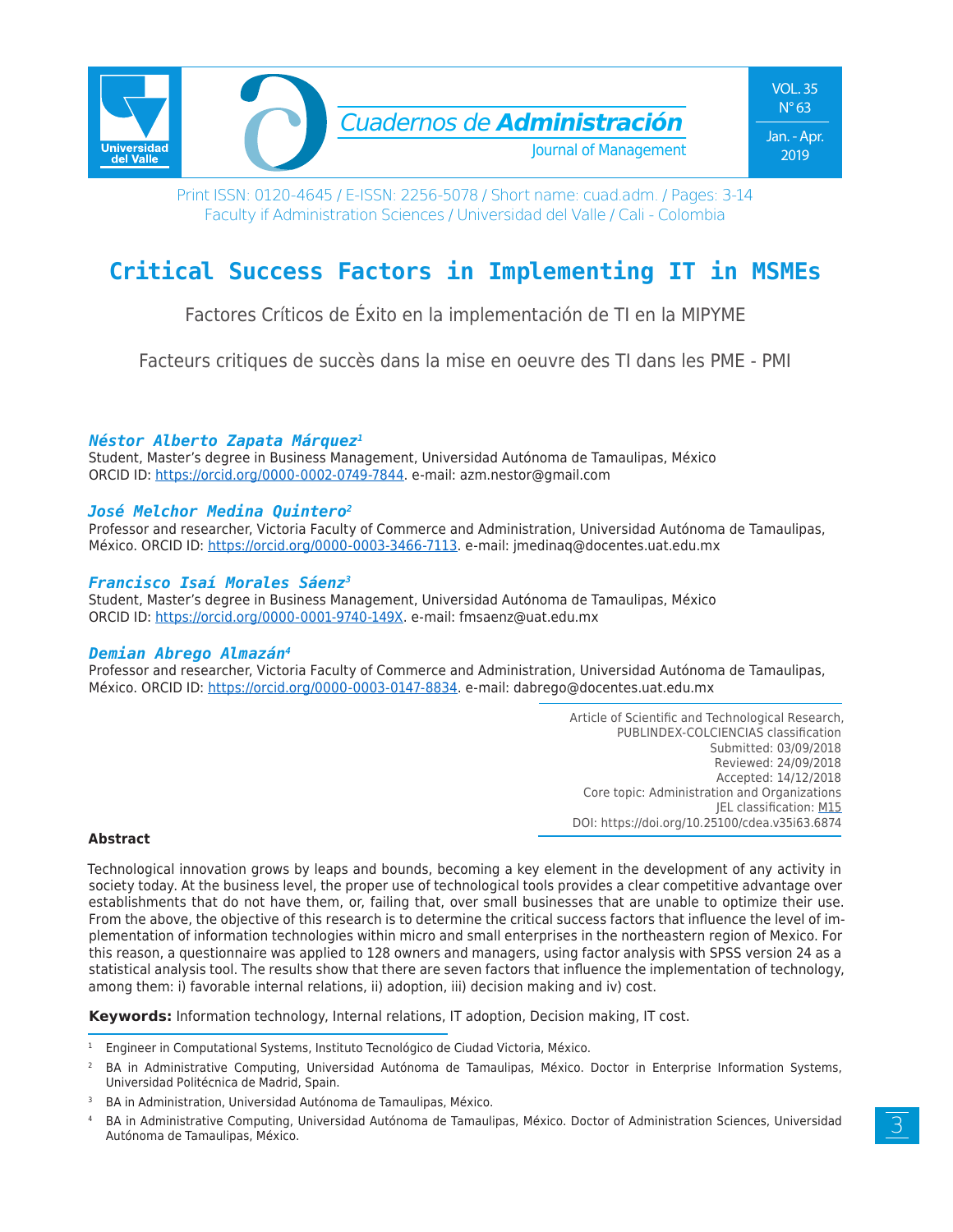

# **Critical Success Factors in Implementing IT in MSMEs**

Factores Críticos de Éxito en la implementación de TI en la MIPYME

Facteurs critiques de succès dans la mise en oeuvre des TI dans les PME - PMI

# *Néstor Alberto Zapata Márquez1*

Student, Master's degree in Business Management, Universidad Autónoma de Tamaulipas, México ORCID ID: https://orcid.org/0000-0002-0749-7844. e-mail: azm.nestor@gmail.com

# *José Melchor Medina Quintero2*

Professor and researcher, Victoria Faculty of Commerce and Administration, Universidad Autónoma de Tamaulipas, México. ORCID ID: https://orcid.org/0000-0003-3466-7113. e-mail: jmedinaq@docentes.uat.edu.mx

# *Francisco Isaí Morales Sáenz3*

Student, Master's degree in Business Management, Universidad Autónoma de Tamaulipas, México ORCID ID: https://orcid.org/0000-0001-9740-149X. e-mail: fmsaenz@uat.edu.mx

### *Demian Abrego Almazán4*

Professor and researcher, Victoria Faculty of Commerce and Administration, Universidad Autónoma de Tamaulipas, México. ORCID ID: https://orcid.org/0000-0003-0147-8834. e-mail: dabrego@docentes.uat.edu.mx

> Article of Scientific and Technological Research, PUBLINDEX-COLCIENCIAS classification Submitted: 03/09/2018 Reviewed: 24/09/2018 Accepted: 14/12/2018 Core topic: Administration and Organizations JEL classification: M15 DOI: https://doi.org/10.25100/cdea.v35i63.6874

### **Abstract**

Technological innovation grows by leaps and bounds, becoming a key element in the development of any activity in society today. At the business level, the proper use of technological tools provides a clear competitive advantage over establishments that do not have them, or, failing that, over small businesses that are unable to optimize their use. From the above, the objective of this research is to determine the critical success factors that influence the level of implementation of information technologies within micro and small enterprises in the northeastern region of Mexico. For this reason, a questionnaire was applied to 128 owners and managers, using factor analysis with SPSS version 24 as a statistical analysis tool. The results show that there are seven factors that influence the implementation of technology, among them: i) favorable internal relations, ii) adoption, iii) decision making and iv) cost.

**Keywords:** Information technology, Internal relations, IT adoption, Decision making, IT cost.

<sup>1</sup> Engineer in Computational Systems, Instituto Tecnológico de Ciudad Victoria, México.

<sup>2</sup> BA in Administrative Computing, Universidad Autónoma de Tamaulipas, México. Doctor in Enterprise Information Systems, Universidad Politécnica de Madrid, Spain.

BA in Administration, Universidad Autónoma de Tamaulipas, México.

<sup>4</sup> BA in Administrative Computing, Universidad Autónoma de Tamaulipas, México. Doctor of Administration Sciences, Universidad Autónoma de Tamaulipas, México.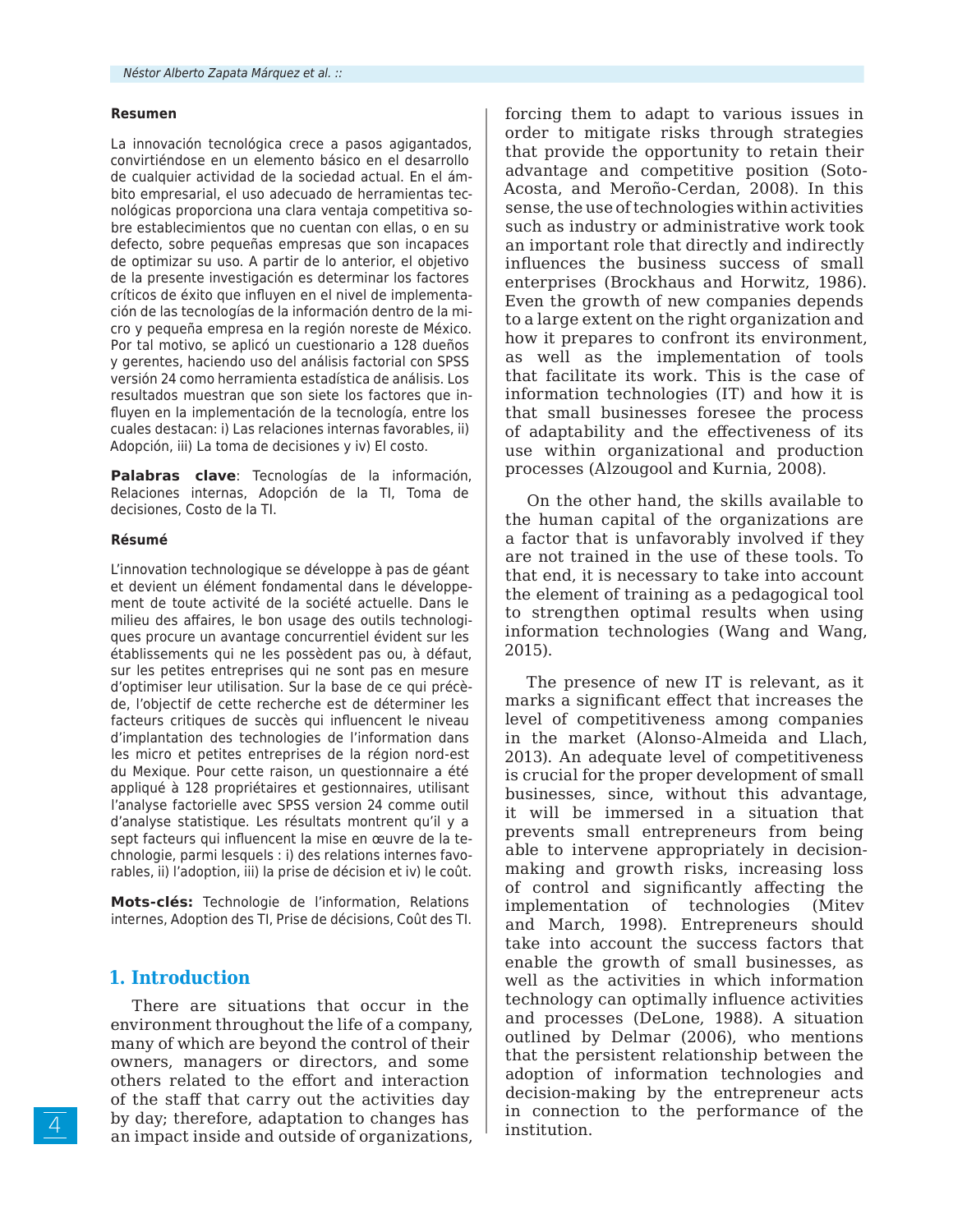#### **Resumen**

La innovación tecnológica crece a pasos agigantados, convirtiéndose en un elemento básico en el desarrollo de cualquier actividad de la sociedad actual. En el ámbito empresarial, el uso adecuado de herramientas tecnológicas proporciona una clara ventaja competitiva sobre establecimientos que no cuentan con ellas, o en su defecto, sobre pequeñas empresas que son incapaces de optimizar su uso. A partir de lo anterior, el objetivo de la presente investigación es determinar los factores críticos de éxito que influyen en el nivel de implementación de las tecnologías de la información dentro de la micro y pequeña empresa en la región noreste de México. Por tal motivo, se aplicó un cuestionario a 128 dueños y gerentes, haciendo uso del análisis factorial con SPSS versión 24 como herramienta estadística de análisis. Los resultados muestran que son siete los factores que influyen en la implementación de la tecnología, entre los cuales destacan: i) Las relaciones internas favorables, ii) Adopción, iii) La toma de decisiones y iv) El costo.

**Palabras clave**: Tecnologías de la información, Relaciones internas, Adopción de la TI, Toma de decisiones, Costo de la TI.

#### **Résumé**

L'innovation technologique se développe à pas de géant et devient un élément fondamental dans le développement de toute activité de la société actuelle. Dans le milieu des affaires, le bon usage des outils technologiques procure un avantage concurrentiel évident sur les établissements qui ne les possèdent pas ou, à défaut, sur les petites entreprises qui ne sont pas en mesure d'optimiser leur utilisation. Sur la base de ce qui précède, l'objectif de cette recherche est de déterminer les facteurs critiques de succès qui influencent le niveau d'implantation des technologies de l'information dans les micro et petites entreprises de la région nord-est du Mexique. Pour cette raison, un questionnaire a été appliqué à 128 propriétaires et gestionnaires, utilisant l'analyse factorielle avec SPSS version 24 comme outil d'analyse statistique. Les résultats montrent qu'il y a sept facteurs qui influencent la mise en œuvre de la technologie, parmi lesquels : i) des relations internes favorables, ii) l'adoption, iii) la prise de décision et iv) le coût.

**Mots-clés:** Technologie de l'information, Relations internes, Adoption des TI, Prise de décisions, Coût des TI.

# **1. Introduction**

There are situations that occur in the environment throughout the life of a company, many of which are beyond the control of their owners, managers or directors, and some others related to the effort and interaction of the staff that carry out the activities day by day; therefore, adaptation to changes has an impact inside and outside of organizations, forcing them to adapt to various issues in order to mitigate risks through strategies that provide the opportunity to retain their advantage and competitive position (Soto-Acosta, and Meroño-Cerdan, 2008). In this sense, the use of technologies within activities such as industry or administrative work took an important role that directly and indirectly influences the business success of small enterprises (Brockhaus and Horwitz, 1986). Even the growth of new companies depends to a large extent on the right organization and how it prepares to confront its environment, as well as the implementation of tools that facilitate its work. This is the case of information technologies (IT) and how it is that small businesses foresee the process of adaptability and the effectiveness of its use within organizational and production processes (Alzougool and Kurnia, 2008).

On the other hand, the skills available to the human capital of the organizations are a factor that is unfavorably involved if they are not trained in the use of these tools. To that end, it is necessary to take into account the element of training as a pedagogical tool to strengthen optimal results when using information technologies (Wang and Wang, 2015).

The presence of new IT is relevant, as it marks a significant effect that increases the level of competitiveness among companies in the market (Alonso-Almeida and Llach, 2013). An adequate level of competitiveness is crucial for the proper development of small businesses, since, without this advantage, it will be immersed in a situation that prevents small entrepreneurs from being able to intervene appropriately in decisionmaking and growth risks, increasing loss of control and significantly affecting the implementation of technologies (Mitev and March, 1998). Entrepreneurs should take into account the success factors that enable the growth of small businesses, as well as the activities in which information technology can optimally influence activities and processes (DeLone, 1988). A situation outlined by Delmar (2006), who mentions that the persistent relationship between the adoption of information technologies and decision-making by the entrepreneur acts in connection to the performance of the institution.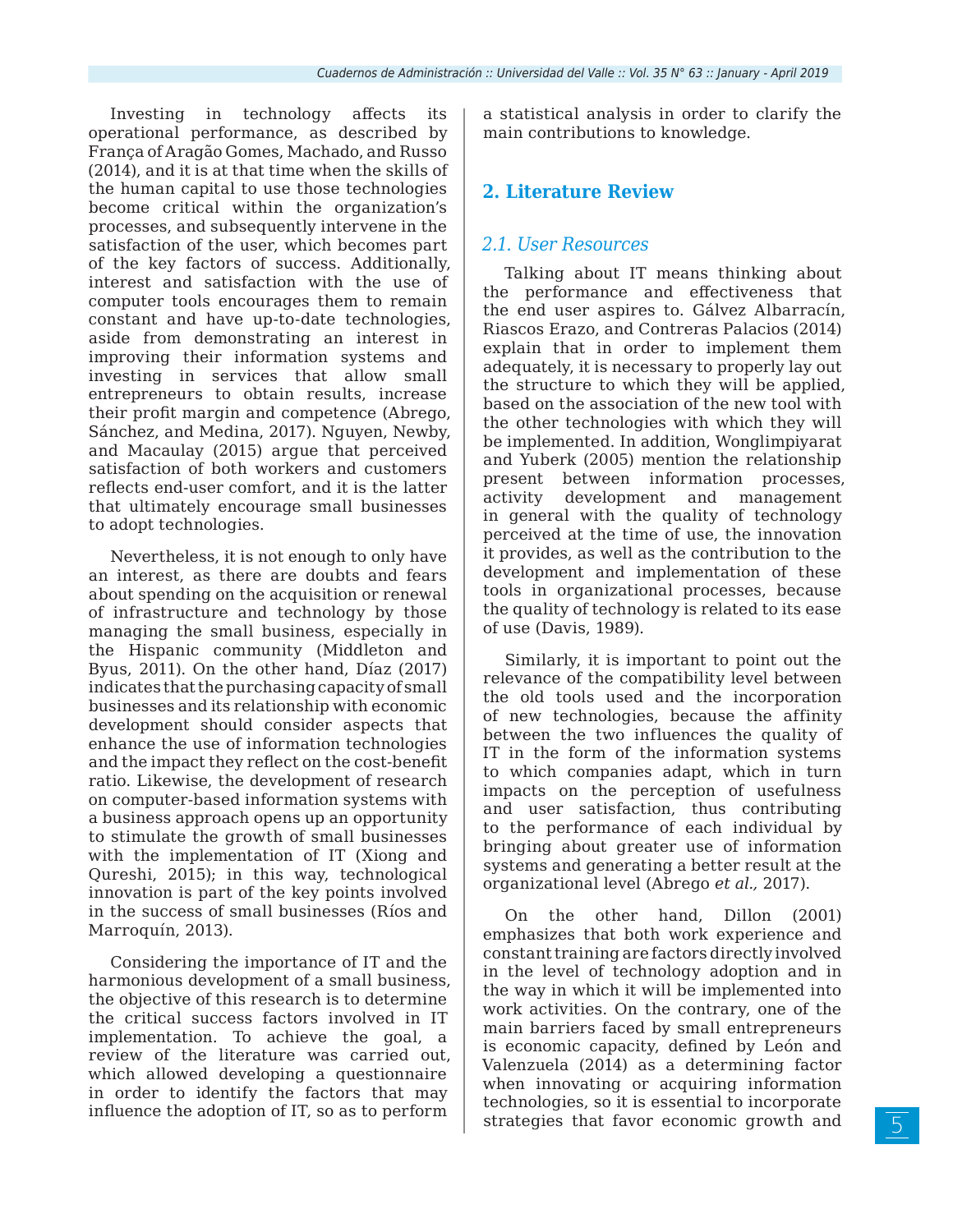Investing in technology affects its operational performance, as described by França of Aragão Gomes, Machado, and Russo (2014), and it is at that time when the skills of the human capital to use those technologies become critical within the organization's processes, and subsequently intervene in the satisfaction of the user, which becomes part of the key factors of success. Additionally, interest and satisfaction with the use of computer tools encourages them to remain constant and have up-to-date technologies, aside from demonstrating an interest in improving their information systems and investing in services that allow small entrepreneurs to obtain results, increase their profit margin and competence (Abrego, Sánchez, and Medina, 2017). Nguyen, Newby, and Macaulay (2015) argue that perceived satisfaction of both workers and customers reflects end-user comfort, and it is the latter that ultimately encourage small businesses to adopt technologies.

Nevertheless, it is not enough to only have an interest, as there are doubts and fears about spending on the acquisition or renewal of infrastructure and technology by those managing the small business, especially in the Hispanic community (Middleton and Byus, 2011). On the other hand, Díaz (2017) indicates that the purchasing capacity of small businesses and its relationship with economic development should consider aspects that enhance the use of information technologies and the impact they reflect on the cost-benefit ratio. Likewise, the development of research on computer-based information systems with a business approach opens up an opportunity to stimulate the growth of small businesses with the implementation of IT (Xiong and Qureshi, 2015); in this way, technological innovation is part of the key points involved in the success of small businesses (Ríos and Marroquín, 2013).

Considering the importance of IT and the harmonious development of a small business, the objective of this research is to determine the critical success factors involved in IT implementation. To achieve the goal, a review of the literature was carried out, which allowed developing a questionnaire in order to identify the factors that may influence the adoption of IT, so as to perform

a statistical analysis in order to clarify the main contributions to knowledge.

# **2. Literature Review**

# *2.1. User Resources*

Talking about IT means thinking about the performance and effectiveness that the end user aspires to. Gálvez Albarracín, Riascos Erazo, and Contreras Palacios (2014) explain that in order to implement them adequately, it is necessary to properly lay out the structure to which they will be applied, based on the association of the new tool with the other technologies with which they will be implemented. In addition, Wonglimpiyarat and Yuberk (2005) mention the relationship present between information processes, activity development and management in general with the quality of technology perceived at the time of use, the innovation it provides, as well as the contribution to the development and implementation of these tools in organizational processes, because the quality of technology is related to its ease of use (Davis, 1989).

Similarly, it is important to point out the relevance of the compatibility level between the old tools used and the incorporation of new technologies, because the affinity between the two influences the quality of IT in the form of the information systems to which companies adapt, which in turn impacts on the perception of usefulness and user satisfaction, thus contributing to the performance of each individual by bringing about greater use of information systems and generating a better result at the organizational level (Abrego *et al.,* 2017).

On the other hand, Dillon (2001) emphasizes that both work experience and constant training are factors directly involved in the level of technology adoption and in the way in which it will be implemented into work activities. On the contrary, one of the main barriers faced by small entrepreneurs is economic capacity, defined by León and Valenzuela (2014) as a determining factor when innovating or acquiring information technologies, so it is essential to incorporate strategies that favor economic growth and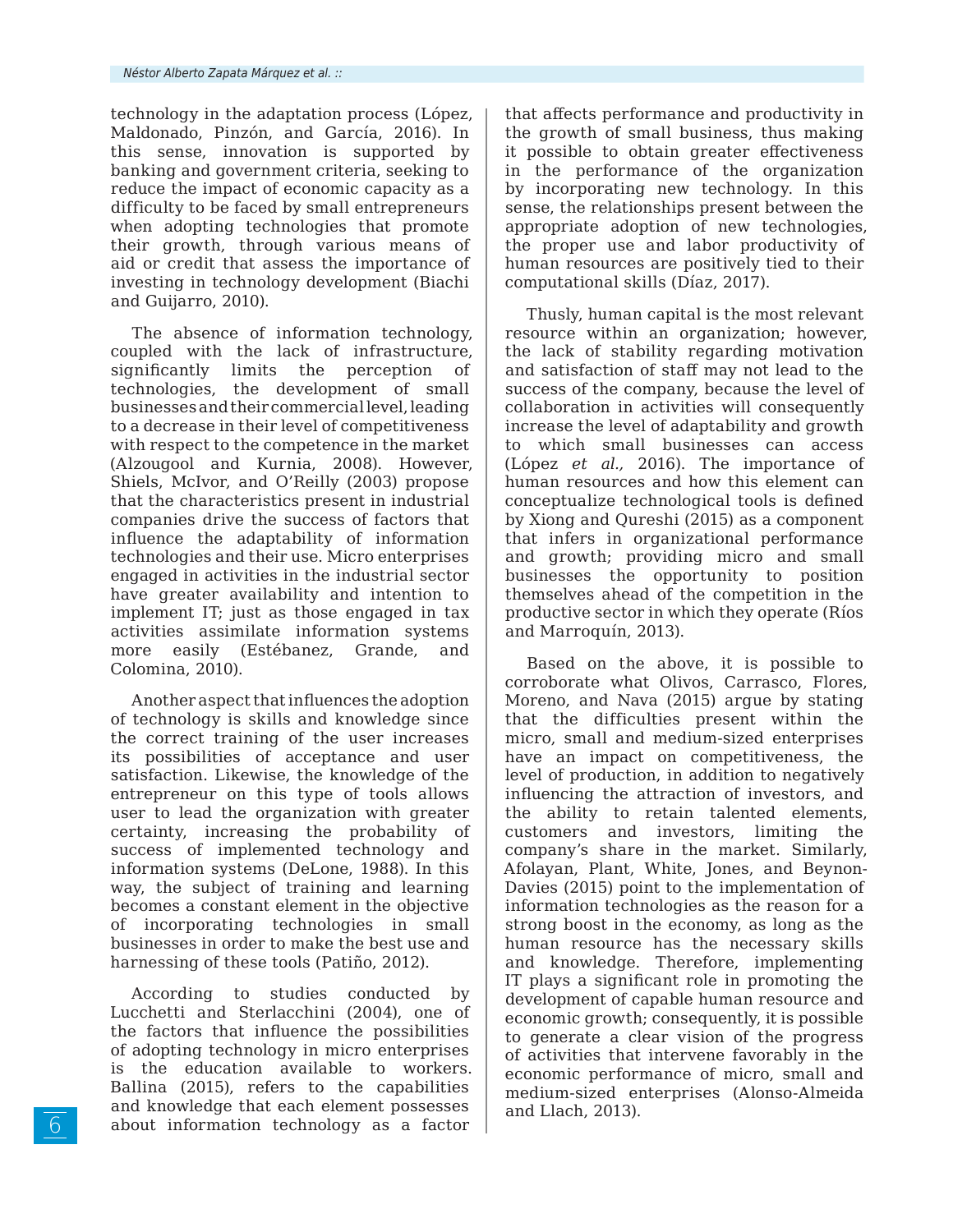technology in the adaptation process (López, Maldonado, Pinzón, and García, 2016). In this sense, innovation is supported by banking and government criteria, seeking to reduce the impact of economic capacity as a difficulty to be faced by small entrepreneurs when adopting technologies that promote their growth, through various means of aid or credit that assess the importance of investing in technology development (Biachi and Guijarro, 2010).

The absence of information technology, coupled with the lack of infrastructure, significantly limits the perception of technologies, the development of small businesses and their commercial level, leading to a decrease in their level of competitiveness with respect to the competence in the market (Alzougool and Kurnia, 2008). However, Shiels, McIvor, and O'Reilly (2003) propose that the characteristics present in industrial companies drive the success of factors that influence the adaptability of information technologies and their use. Micro enterprises engaged in activities in the industrial sector have greater availability and intention to implement IT; just as those engaged in tax activities assimilate information systems more easily (Estébanez, Grande, and Colomina, 2010).

Another aspect that influences the adoption of technology is skills and knowledge since the correct training of the user increases its possibilities of acceptance and user satisfaction. Likewise, the knowledge of the entrepreneur on this type of tools allows user to lead the organization with greater certainty, increasing the probability of success of implemented technology and information systems (DeLone, 1988). In this way, the subject of training and learning becomes a constant element in the objective of incorporating technologies in small businesses in order to make the best use and harnessing of these tools (Patiño, 2012).

According to studies conducted by Lucchetti and Sterlacchini (2004), one of the factors that influence the possibilities of adopting technology in micro enterprises is the education available to workers. Ballina (2015), refers to the capabilities and knowledge that each element possesses about information technology as a factor that affects performance and productivity in the growth of small business, thus making it possible to obtain greater effectiveness in the performance of the organization by incorporating new technology. In this sense, the relationships present between the appropriate adoption of new technologies, the proper use and labor productivity of human resources are positively tied to their computational skills (Díaz, 2017).

Thusly, human capital is the most relevant resource within an organization; however, the lack of stability regarding motivation and satisfaction of staff may not lead to the success of the company, because the level of collaboration in activities will consequently increase the level of adaptability and growth to which small businesses can access (López *et al.,* 2016). The importance of human resources and how this element can conceptualize technological tools is defined by Xiong and Qureshi (2015) as a component that infers in organizational performance and growth; providing micro and small businesses the opportunity to position themselves ahead of the competition in the productive sector in which they operate (Ríos and Marroquín, 2013).

Based on the above, it is possible to corroborate what Olivos, Carrasco, Flores, Moreno, and Nava (2015) argue by stating that the difficulties present within the micro, small and medium-sized enterprises have an impact on competitiveness, the level of production, in addition to negatively influencing the attraction of investors, and the ability to retain talented elements, customers and investors, limiting the company's share in the market. Similarly, Afolayan, Plant, White, Jones, and Beynon-Davies (2015) point to the implementation of information technologies as the reason for a strong boost in the economy, as long as the human resource has the necessary skills and knowledge. Therefore, implementing IT plays a significant role in promoting the development of capable human resource and economic growth; consequently, it is possible to generate a clear vision of the progress of activities that intervene favorably in the economic performance of micro, small and medium-sized enterprises (Alonso-Almeida and Llach, 2013).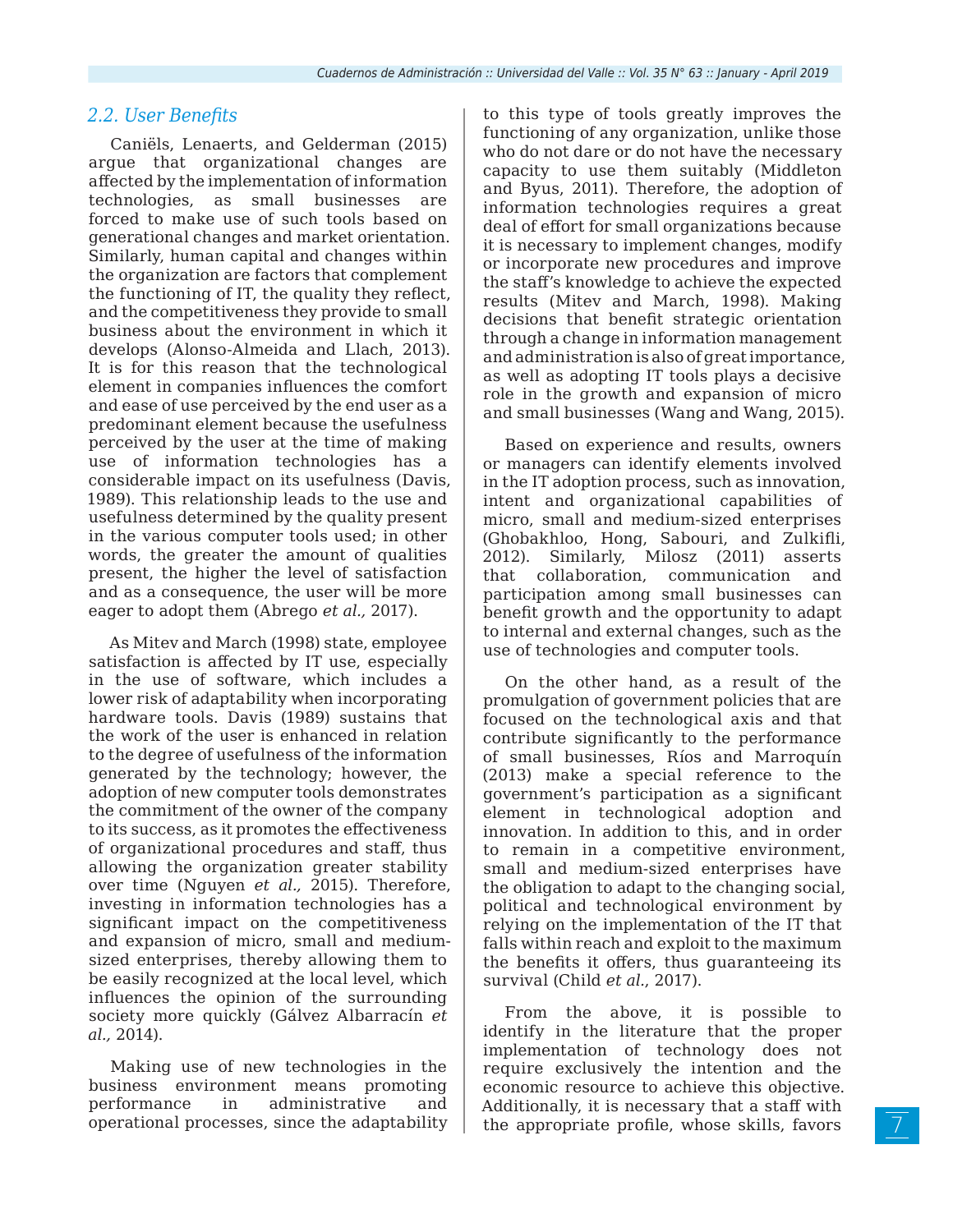# *2.2. User Benefits*

Caniëls, Lenaerts, and Gelderman (2015) argue that organizational changes are affected by the implementation of information technologies, as small businesses are forced to make use of such tools based on generational changes and market orientation. Similarly, human capital and changes within the organization are factors that complement the functioning of IT, the quality they reflect, and the competitiveness they provide to small business about the environment in which it develops (Alonso-Almeida and Llach, 2013). It is for this reason that the technological element in companies influences the comfort and ease of use perceived by the end user as a predominant element because the usefulness perceived by the user at the time of making use of information technologies has a considerable impact on its usefulness (Davis, 1989). This relationship leads to the use and usefulness determined by the quality present in the various computer tools used; in other words, the greater the amount of qualities present, the higher the level of satisfaction and as a consequence, the user will be more eager to adopt them (Abrego *et al.,* 2017).

As Mitev and March (1998) state, employee satisfaction is affected by IT use, especially in the use of software, which includes a lower risk of adaptability when incorporating hardware tools. Davis (1989) sustains that the work of the user is enhanced in relation to the degree of usefulness of the information generated by the technology; however, the adoption of new computer tools demonstrates the commitment of the owner of the company to its success, as it promotes the effectiveness of organizational procedures and staff, thus allowing the organization greater stability over time (Nguyen *et al.,* 2015). Therefore, investing in information technologies has a significant impact on the competitiveness and expansion of micro, small and mediumsized enterprises, thereby allowing them to be easily recognized at the local level, which influences the opinion of the surrounding society more quickly (Gálvez Albarracín *et al.,* 2014).

Making use of new technologies in the business environment means promoting performance in administrative and operational processes, since the adaptability to this type of tools greatly improves the functioning of any organization, unlike those who do not dare or do not have the necessary capacity to use them suitably (Middleton and Byus, 2011). Therefore, the adoption of information technologies requires a great deal of effort for small organizations because it is necessary to implement changes, modify or incorporate new procedures and improve the staff's knowledge to achieve the expected results (Mitev and March, 1998). Making decisions that benefit strategic orientation through a change in information management and administration is also of great importance, as well as adopting IT tools plays a decisive role in the growth and expansion of micro and small businesses (Wang and Wang, 2015).

Based on experience and results, owners or managers can identify elements involved in the IT adoption process, such as innovation, intent and organizational capabilities of micro, small and medium-sized enterprises (Ghobakhloo, Hong, Sabouri, and Zulkifli, 2012). Similarly, Milosz (2011) asserts that collaboration, communication and participation among small businesses can benefit growth and the opportunity to adapt to internal and external changes, such as the use of technologies and computer tools.

On the other hand, as a result of the promulgation of government policies that are focused on the technological axis and that contribute significantly to the performance of small businesses, Ríos and Marroquín (2013) make a special reference to the government's participation as a significant element in technological adoption and innovation. In addition to this, and in order to remain in a competitive environment, small and medium-sized enterprises have the obligation to adapt to the changing social, political and technological environment by relying on the implementation of the IT that falls within reach and exploit to the maximum the benefits it offers, thus guaranteeing its survival (Child *et al.*, 2017).

From the above, it is possible to identify in the literature that the proper implementation of technology does not require exclusively the intention and the economic resource to achieve this objective. Additionally, it is necessary that a staff with the appropriate profile, whose skills, favors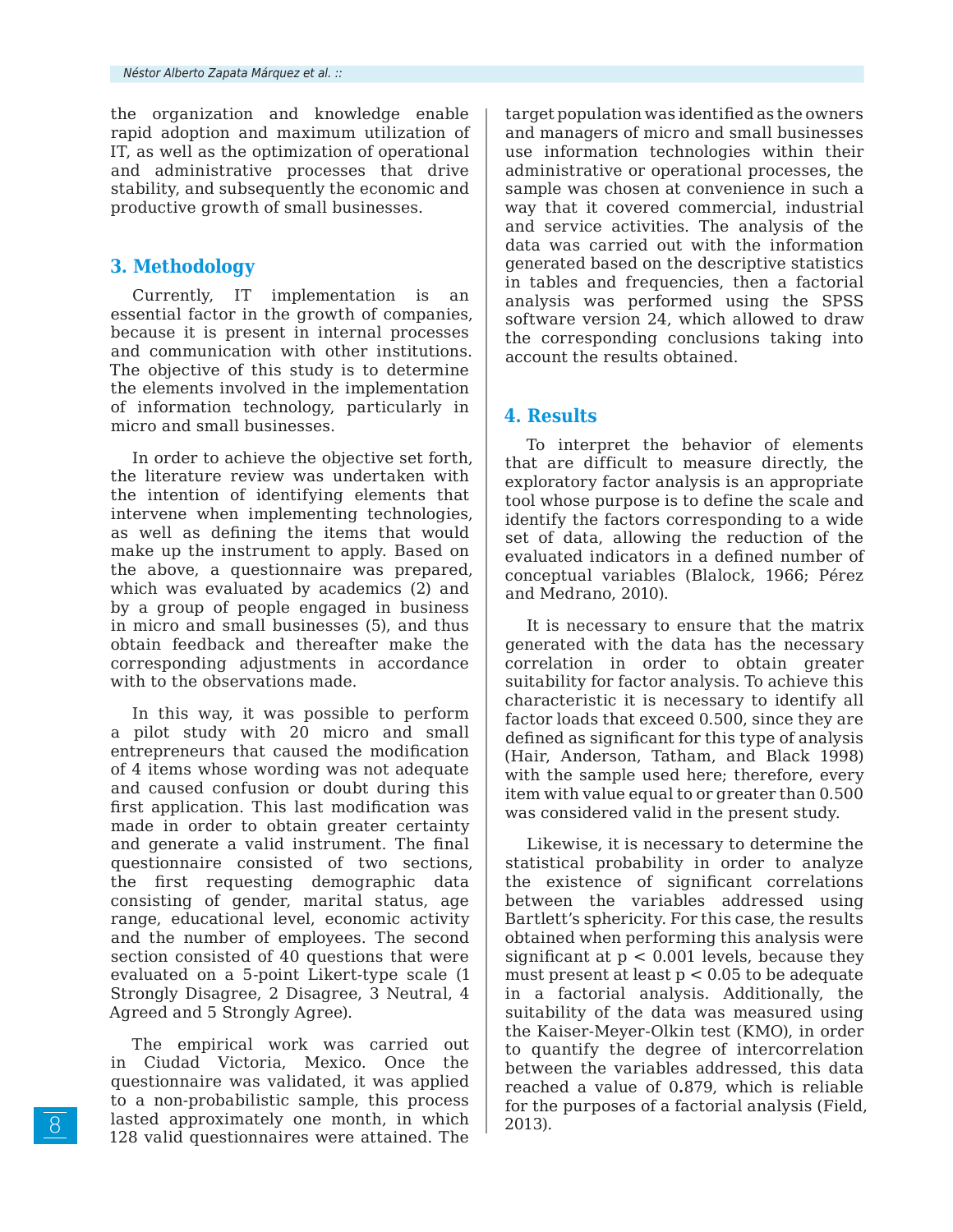the organization and knowledge enable rapid adoption and maximum utilization of IT, as well as the optimization of operational and administrative processes that drive stability, and subsequently the economic and productive growth of small businesses.

# **3. Methodology**

Currently, IT implementation is an essential factor in the growth of companies, because it is present in internal processes and communication with other institutions. The objective of this study is to determine the elements involved in the implementation of information technology, particularly in micro and small businesses.

In order to achieve the objective set forth, the literature review was undertaken with the intention of identifying elements that intervene when implementing technologies, as well as defining the items that would make up the instrument to apply. Based on the above, a questionnaire was prepared, which was evaluated by academics (2) and by a group of people engaged in business in micro and small businesses (5), and thus obtain feedback and thereafter make the corresponding adjustments in accordance with to the observations made.

In this way, it was possible to perform a pilot study with 20 micro and small entrepreneurs that caused the modification of 4 items whose wording was not adequate and caused confusion or doubt during this first application. This last modification was made in order to obtain greater certainty and generate a valid instrument. The final questionnaire consisted of two sections, the first requesting demographic data consisting of gender, marital status, age range, educational level, economic activity and the number of employees. The second section consisted of 40 questions that were evaluated on a 5-point Likert-type scale (1 Strongly Disagree, 2 Disagree, 3 Neutral, 4 Agreed and 5 Strongly Agree).

The empirical work was carried out in Ciudad Victoria, Mexico. Once the questionnaire was validated, it was applied to a non-probabilistic sample, this process lasted approximately one month, in which 128 valid questionnaires were attained. The

target population was identified as the owners and managers of micro and small businesses use information technologies within their administrative or operational processes, the sample was chosen at convenience in such a way that it covered commercial, industrial and service activities. The analysis of the data was carried out with the information generated based on the descriptive statistics in tables and frequencies, then a factorial analysis was performed using the SPSS software version 24, which allowed to draw the corresponding conclusions taking into account the results obtained.

# **4. Results**

To interpret the behavior of elements that are difficult to measure directly, the exploratory factor analysis is an appropriate tool whose purpose is to define the scale and identify the factors corresponding to a wide set of data, allowing the reduction of the evaluated indicators in a defined number of conceptual variables (Blalock, 1966; Pérez and Medrano, 2010).

It is necessary to ensure that the matrix generated with the data has the necessary correlation in order to obtain greater suitability for factor analysis. To achieve this characteristic it is necessary to identify all factor loads that exceed 0.500, since they are defined as significant for this type of analysis (Hair, Anderson, Tatham, and Black 1998) with the sample used here; therefore, every item with value equal to or greater than 0.500 was considered valid in the present study.

Likewise, it is necessary to determine the statistical probability in order to analyze the existence of significant correlations between the variables addressed using Bartlett's sphericity. For this case, the results obtained when performing this analysis were significant at  $p < 0.001$  levels, because they must present at least  $p < 0.05$  to be adequate in a factorial analysis. Additionally, the suitability of the data was measured using the Kaiser-Meyer-Olkin test (KMO), in order to quantify the degree of intercorrelation between the variables addressed, this data reached a value of 0**.**879, which is reliable for the purposes of a factorial analysis (Field, 2013).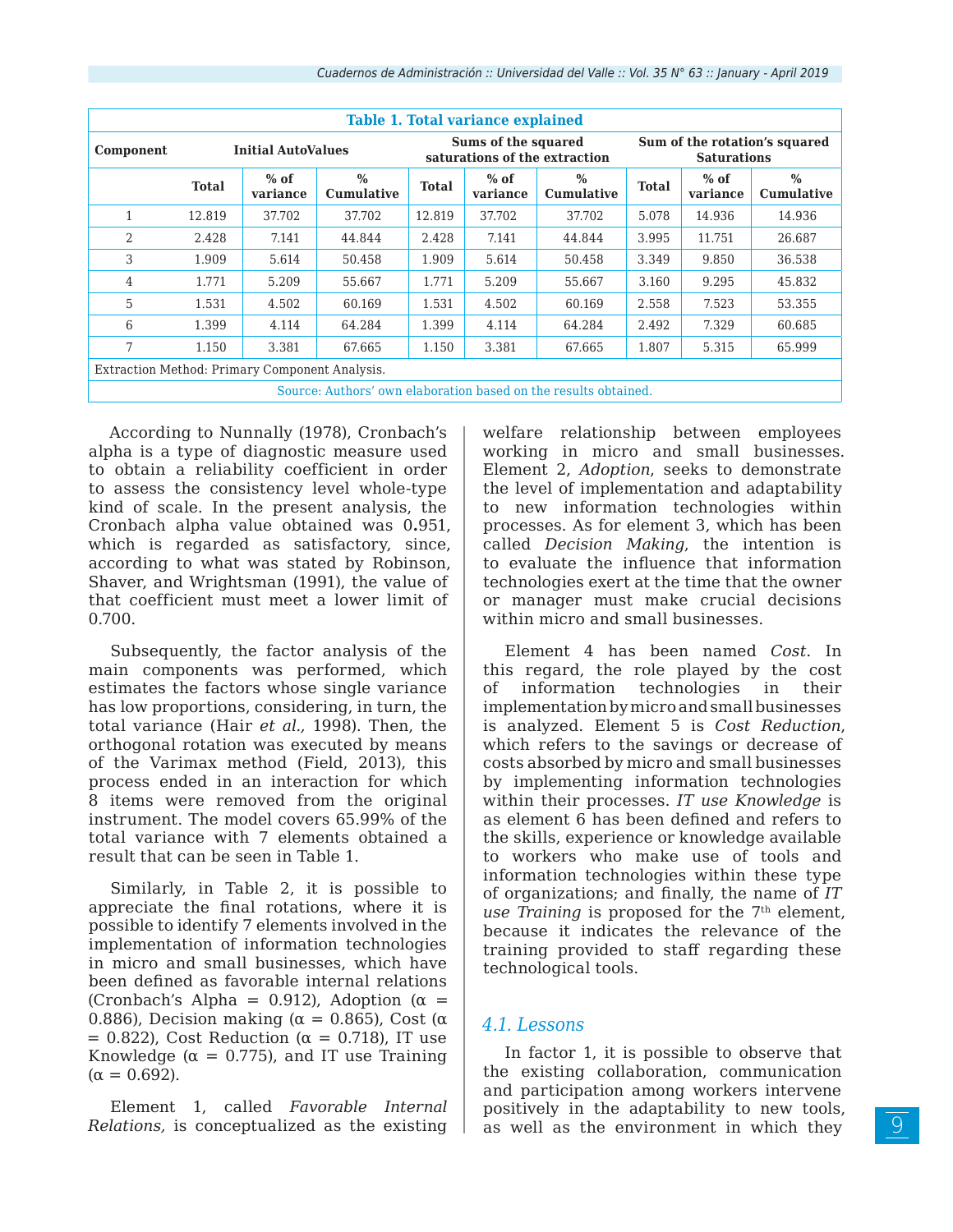| Table 1. Total variance explained                               |              |                           |                           |              |                     |                               |              |                                                     |                           |  |  |  |
|-----------------------------------------------------------------|--------------|---------------------------|---------------------------|--------------|---------------------|-------------------------------|--------------|-----------------------------------------------------|---------------------------|--|--|--|
| Component                                                       |              | <b>Initial AutoValues</b> |                           |              | Sums of the squared | saturations of the extraction |              | Sum of the rotation's squared<br><b>Saturations</b> |                           |  |  |  |
|                                                                 | <b>Total</b> | $%$ of<br>variance        | $\%$<br><b>Cumulative</b> | <b>Total</b> | $%$ of<br>variance  | $\%$<br><b>Cumulative</b>     | <b>Total</b> | $%$ of<br>variance                                  | $\%$<br><b>Cumulative</b> |  |  |  |
| 1                                                               | 12.819       | 37.702                    | 37.702                    | 12.819       | 37.702              | 37.702                        | 5.078        | 14.936                                              | 14.936                    |  |  |  |
| 2                                                               | 2.428        | 7.141                     | 44.844                    | 2.428        | 7.141               | 44.844                        | 3.995        | 11.751                                              | 26.687                    |  |  |  |
| 3                                                               | 1.909        | 5.614                     | 50.458                    | 1.909        | 5.614               | 50.458                        | 3.349        | 9.850                                               | 36.538                    |  |  |  |
| 4                                                               | 1.771        | 5.209                     | 55.667                    | 1.771        | 5.209               | 55.667                        | 3.160        | 9.295                                               | 45.832                    |  |  |  |
| 5                                                               | 1.531        | 4.502                     | 60.169                    | 1.531        | 4.502               | 60.169                        | 2.558        | 7.523                                               | 53.355                    |  |  |  |
| 6                                                               | 1.399        | 4.114                     | 64.284                    | 1.399        | 4.114               | 64.284                        | 2.492        | 7.329                                               | 60.685                    |  |  |  |
| 7                                                               | 1.150        | 3.381                     | 67.665                    | 1.150        | 3.381               | 67.665                        | 1.807        | 5.315                                               | 65.999                    |  |  |  |
| Extraction Method: Primary Component Analysis.                  |              |                           |                           |              |                     |                               |              |                                                     |                           |  |  |  |
| Source: Authors' own elaboration based on the results obtained. |              |                           |                           |              |                     |                               |              |                                                     |                           |  |  |  |

According to Nunnally (1978), Cronbach's alpha is a type of diagnostic measure used to obtain a reliability coefficient in order to assess the consistency level whole-type kind of scale. In the present analysis, the Cronbach alpha value obtained was 0**.**951, which is regarded as satisfactory, since, according to what was stated by Robinson, Shaver, and Wrightsman (1991), the value of that coefficient must meet a lower limit of 0.700.

Subsequently, the factor analysis of the main components was performed, which estimates the factors whose single variance has low proportions, considering, in turn, the total variance (Hair *et al.,* 1998). Then, the orthogonal rotation was executed by means of the Varimax method (Field, 2013), this process ended in an interaction for which 8 items were removed from the original instrument. The model covers 65.99% of the total variance with 7 elements obtained a result that can be seen in Table 1.

Similarly, in Table 2, it is possible to appreciate the final rotations, where it is possible to identify 7 elements involved in the implementation of information technologies in micro and small businesses, which have been defined as favorable internal relations (Cronbach's Alpha = 0.912), Adoption ( $\alpha$  = 0.886), Decision making ( $\alpha = 0.865$ ), Cost ( $\alpha$ )  $= 0.822$ ), Cost Reduction ( $\alpha = 0.718$ ), IT use Knowledge ( $\alpha = 0.775$ ), and IT use Training  $(\alpha = 0.692)$ .

Element 1, called *Favorable Internal Relations,* is conceptualized as the existing welfare relationship between employees working in micro and small businesses. Element 2, *Adoption*, seeks to demonstrate the level of implementation and adaptability to new information technologies within processes. As for element 3, which has been called *Decision Making*, the intention is to evaluate the influence that information technologies exert at the time that the owner or manager must make crucial decisions within micro and small businesses.

Element 4 has been named *Cost*. In this regard, the role played by the cost of information technologies in their implementation by micro and small businesses is analyzed. Element 5 is *Cost Reduction*, which refers to the savings or decrease of costs absorbed by micro and small businesses by implementing information technologies within their processes. *IT use Knowledge* is as element 6 has been defined and refers to the skills, experience or knowledge available to workers who make use of tools and information technologies within these type of organizations; and finally, the name of *IT use Training* is proposed for the 7<sup>th</sup> element, because it indicates the relevance of the training provided to staff regarding these technological tools.

# *4.1. Lessons*

In factor 1, it is possible to observe that the existing collaboration, communication and participation among workers intervene positively in the adaptability to new tools, as well as the environment in which they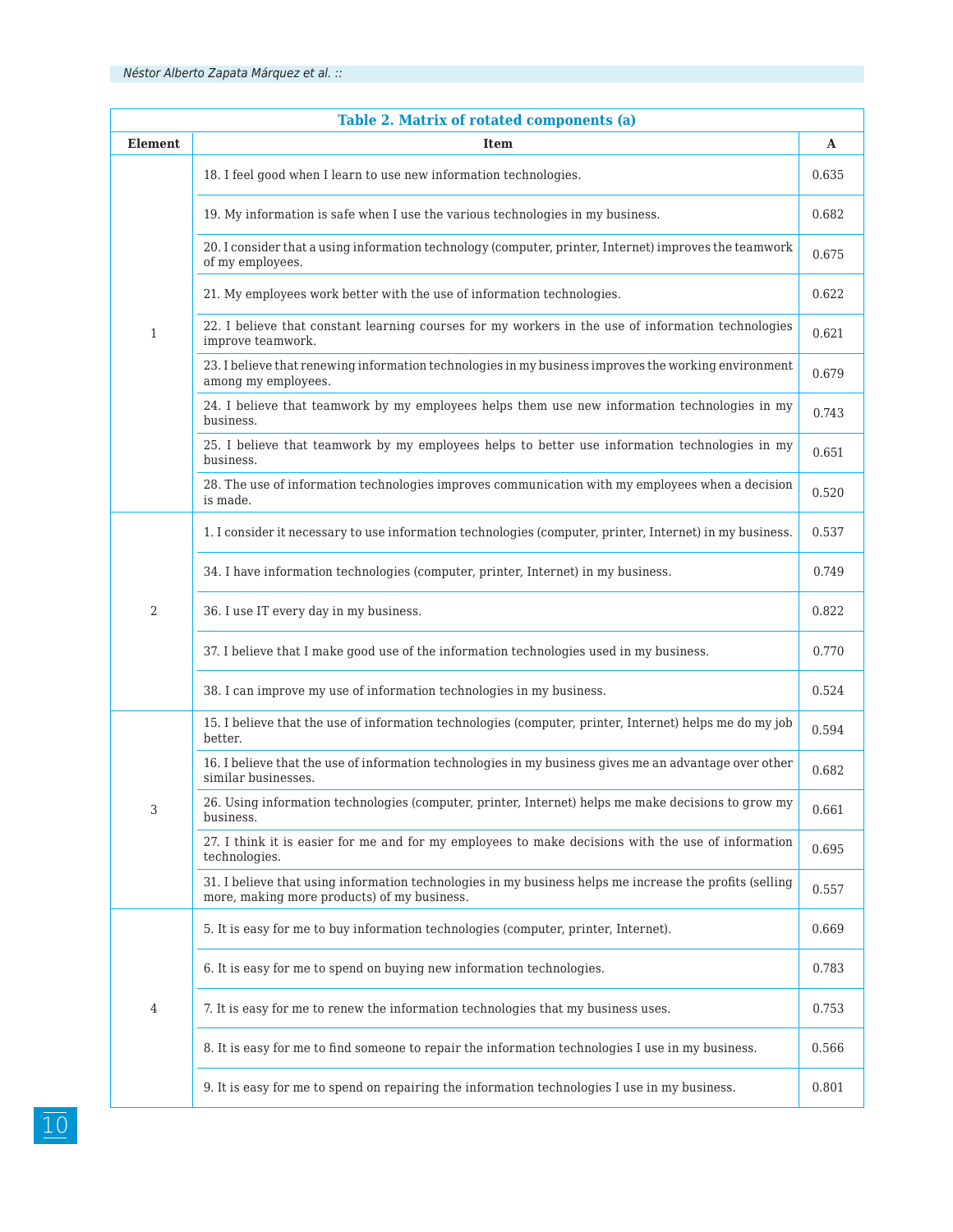| Table 2. Matrix of rotated components (a) |                                                                                                                                                        |       |  |  |  |  |  |
|-------------------------------------------|--------------------------------------------------------------------------------------------------------------------------------------------------------|-------|--|--|--|--|--|
| <b>Element</b>                            | <b>Item</b>                                                                                                                                            | A     |  |  |  |  |  |
| 1                                         | 18. I feel good when I learn to use new information technologies.                                                                                      |       |  |  |  |  |  |
|                                           | 19. My information is safe when I use the various technologies in my business.                                                                         |       |  |  |  |  |  |
|                                           | 20. I consider that a using information technology (computer, printer, Internet) improves the teamwork<br>of my employees.                             |       |  |  |  |  |  |
|                                           | 21. My employees work better with the use of information technologies.                                                                                 |       |  |  |  |  |  |
|                                           | 22. I believe that constant learning courses for my workers in the use of information technologies<br>improve teamwork.                                |       |  |  |  |  |  |
|                                           | 23. I believe that renewing information technologies in my business improves the working environment<br>among my employees.                            |       |  |  |  |  |  |
|                                           | 24. I believe that teamwork by my employees helps them use new information technologies in my<br>business.                                             |       |  |  |  |  |  |
|                                           | 25. I believe that teamwork by my employees helps to better use information technologies in my<br>business.                                            | 0.651 |  |  |  |  |  |
|                                           | 28. The use of information technologies improves communication with my employees when a decision<br>is made.                                           | 0.520 |  |  |  |  |  |
| 2                                         | 1. I consider it necessary to use information technologies (computer, printer, Internet) in my business.                                               | 0.537 |  |  |  |  |  |
|                                           | 34. I have information technologies (computer, printer, Internet) in my business.                                                                      |       |  |  |  |  |  |
|                                           | 36. I use IT every day in my business.                                                                                                                 |       |  |  |  |  |  |
|                                           | 37. I believe that I make good use of the information technologies used in my business.                                                                |       |  |  |  |  |  |
|                                           | 38. I can improve my use of information technologies in my business.                                                                                   | 0.524 |  |  |  |  |  |
|                                           | 15. I believe that the use of information technologies (computer, printer, Internet) helps me do my job<br>better.                                     | 0.594 |  |  |  |  |  |
| 3                                         | 16. I believe that the use of information technologies in my business gives me an advantage over other<br>similar businesses.                          | 0.682 |  |  |  |  |  |
|                                           | 26. Using information technologies (computer, printer, Internet) helps me make decisions to grow my<br>business.                                       | 0.661 |  |  |  |  |  |
|                                           | 27. I think it is easier for me and for my employees to make decisions with the use of information<br>technologies.                                    | 0.695 |  |  |  |  |  |
|                                           | 31. I believe that using information technologies in my business helps me increase the profits (selling<br>more, making more products) of my business. | 0.557 |  |  |  |  |  |
| 4                                         | 5. It is easy for me to buy information technologies (computer, printer, Internet).                                                                    | 0.669 |  |  |  |  |  |
|                                           | 6. It is easy for me to spend on buying new information technologies.                                                                                  | 0.783 |  |  |  |  |  |
|                                           | 7. It is easy for me to renew the information technologies that my business uses.                                                                      |       |  |  |  |  |  |
|                                           | 8. It is easy for me to find someone to repair the information technologies I use in my business.                                                      | 0.566 |  |  |  |  |  |
|                                           | 9. It is easy for me to spend on repairing the information technologies I use in my business.                                                          | 0.801 |  |  |  |  |  |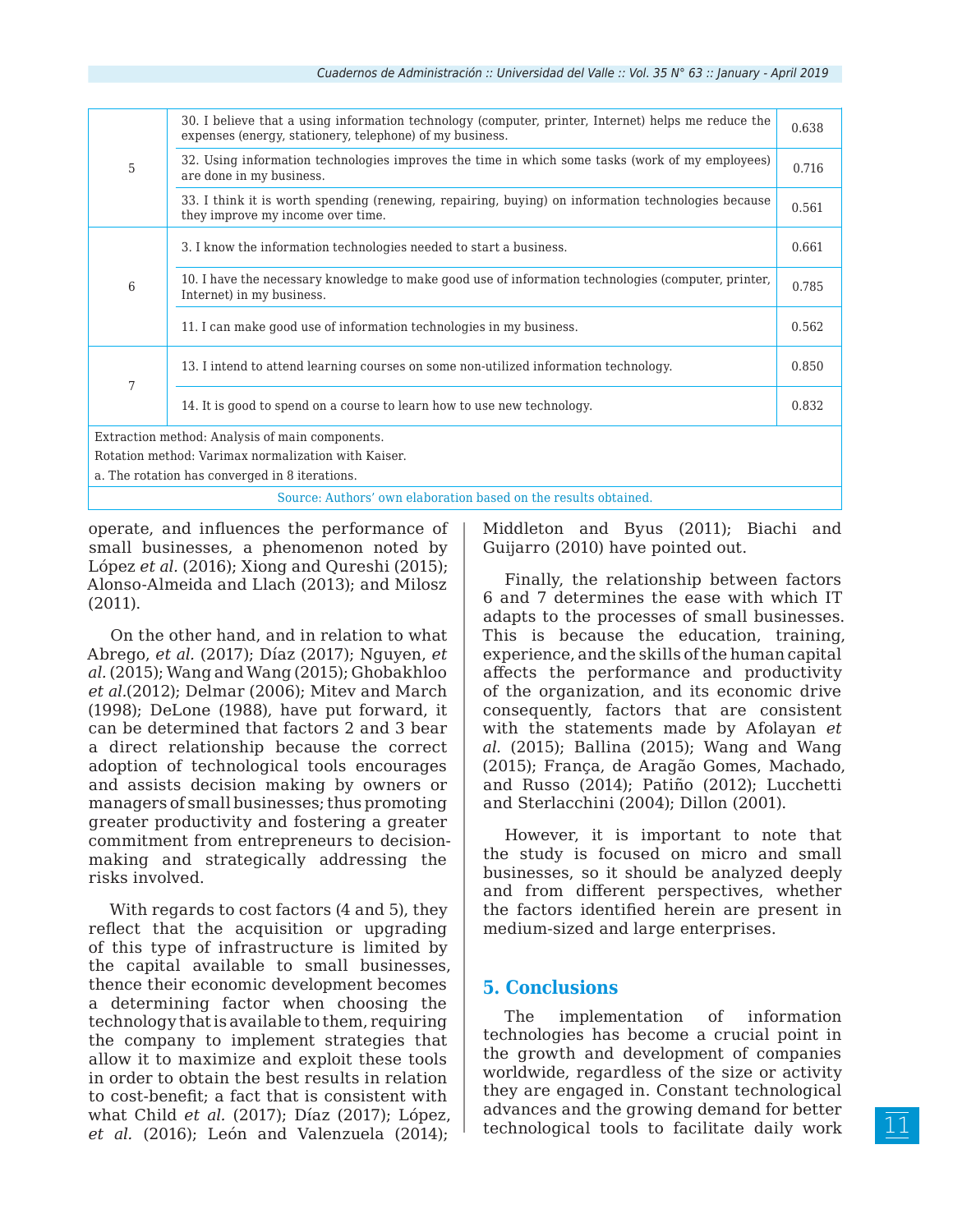| 5                                                               | 30. I believe that a using information technology (computer, printer, Internet) helps me reduce the<br>expenses (energy, stationery, telephone) of my business. |       |  |  |  |  |
|-----------------------------------------------------------------|-----------------------------------------------------------------------------------------------------------------------------------------------------------------|-------|--|--|--|--|
|                                                                 | 32. Using information technologies improves the time in which some tasks (work of my employees)<br>are done in my business.                                     |       |  |  |  |  |
|                                                                 | 33. I think it is worth spending (renewing, repairing, buying) on information technologies because<br>they improve my income over time.                         |       |  |  |  |  |
| 6                                                               | 3. I know the information technologies needed to start a business.                                                                                              |       |  |  |  |  |
|                                                                 | 10. I have the necessary knowledge to make good use of information technologies (computer, printer,<br>Internet) in my business.                                |       |  |  |  |  |
|                                                                 | 11. I can make good use of information technologies in my business.                                                                                             | 0.562 |  |  |  |  |
| 7                                                               | 13. I intend to attend learning courses on some non-utilized information technology.                                                                            |       |  |  |  |  |
|                                                                 | 14. It is good to spend on a course to learn how to use new technology.                                                                                         |       |  |  |  |  |
| Extraction method: Analysis of main components.                 |                                                                                                                                                                 |       |  |  |  |  |
| Rotation method: Varimax normalization with Kaiser.             |                                                                                                                                                                 |       |  |  |  |  |
| a. The rotation has converged in 8 iterations.                  |                                                                                                                                                                 |       |  |  |  |  |
| Source: Authors' own elaboration based on the results obtained. |                                                                                                                                                                 |       |  |  |  |  |

operate, and influences the performance of small businesses, a phenomenon noted by López *et al.* (2016); Xiong and Qureshi (2015); Alonso-Almeida and Llach (2013); and Milosz (2011).

On the other hand, and in relation to what Abrego, *et al.* (2017); Díaz (2017); Nguyen, *et al.* (2015); Wang and Wang (2015); Ghobakhloo *et al.*(2012); Delmar (2006); Mitev and March (1998); DeLone (1988), have put forward, it can be determined that factors 2 and 3 bear a direct relationship because the correct adoption of technological tools encourages and assists decision making by owners or managers of small businesses; thus promoting greater productivity and fostering a greater commitment from entrepreneurs to decisionmaking and strategically addressing the risks involved.

With regards to cost factors (4 and 5), they reflect that the acquisition or upgrading of this type of infrastructure is limited by the capital available to small businesses, thence their economic development becomes a determining factor when choosing the technology that is available to them, requiring the company to implement strategies that allow it to maximize and exploit these tools in order to obtain the best results in relation to cost-benefit; a fact that is consistent with what Child *et al.* (2017); Díaz (2017); López, *et al.* (2016); León and Valenzuela (2014);

Middleton and Byus (2011); Biachi and Guijarro (2010) have pointed out.

Finally, the relationship between factors 6 and 7 determines the ease with which IT adapts to the processes of small businesses. This is because the education, training, experience, and the skills of the human capital affects the performance and productivity of the organization, and its economic drive consequently, factors that are consistent with the statements made by Afolayan *et al.* (2015); Ballina (2015); Wang and Wang (2015); França, de Aragão Gomes, Machado, and Russo (2014); Patiño (2012); Lucchetti and Sterlacchini (2004); Dillon (2001).

However, it is important to note that the study is focused on micro and small businesses, so it should be analyzed deeply and from different perspectives, whether the factors identified herein are present in medium-sized and large enterprises.

# **5. Conclusions**

The implementation of information technologies has become a crucial point in the growth and development of companies worldwide, regardless of the size or activity they are engaged in. Constant technological advances and the growing demand for better technological tools to facilitate daily work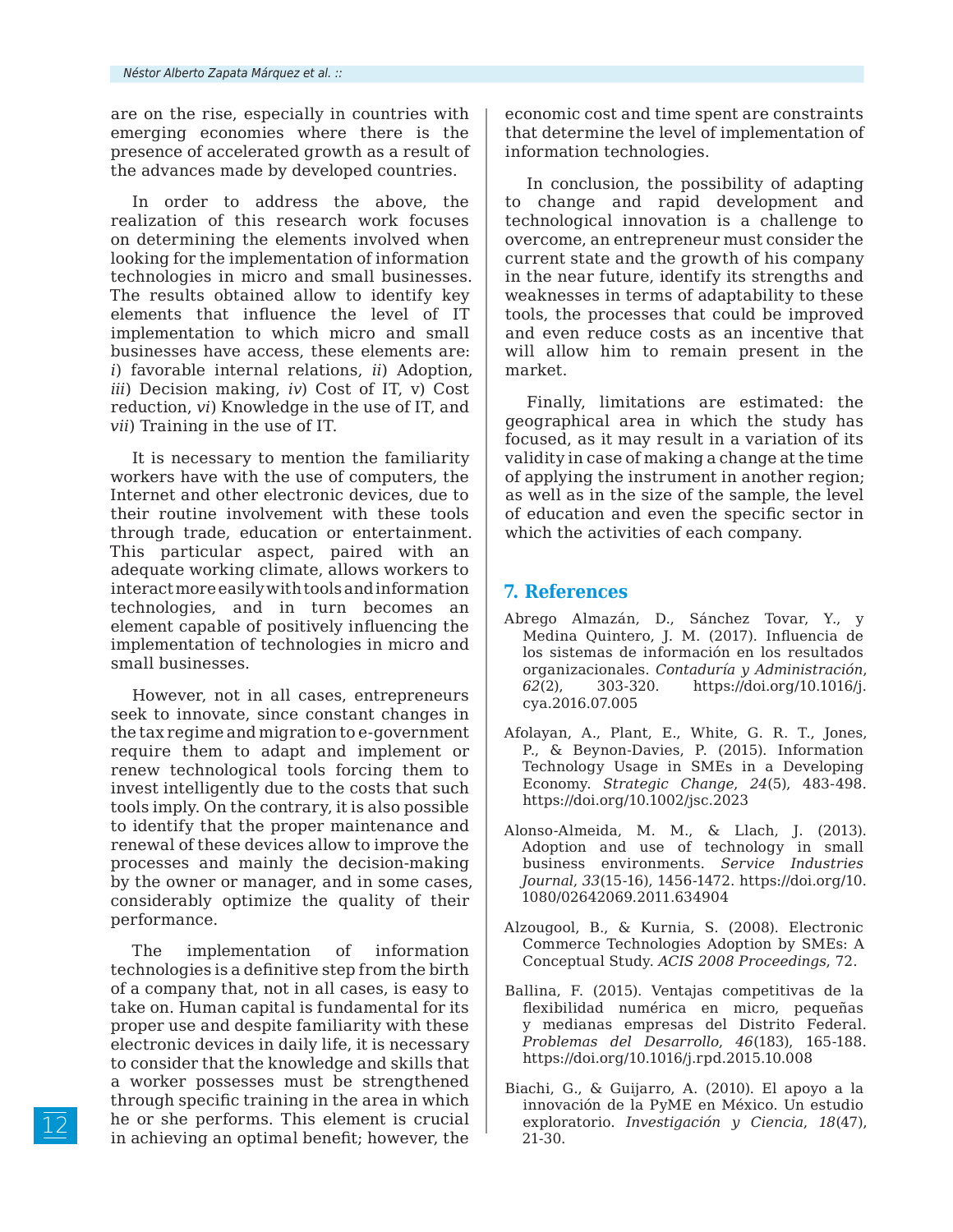are on the rise, especially in countries with emerging economies where there is the presence of accelerated growth as a result of the advances made by developed countries.

In order to address the above, the realization of this research work focuses on determining the elements involved when looking for the implementation of information technologies in micro and small businesses. The results obtained allow to identify key elements that influence the level of IT implementation to which micro and small businesses have access, these elements are: *i*) favorable internal relations, *ii*) Adoption, *iii*) Decision making, *iv*) Cost of IT, v) Cost reduction, *vi*) Knowledge in the use of IT, and *vii*) Training in the use of IT.

It is necessary to mention the familiarity workers have with the use of computers, the Internet and other electronic devices, due to their routine involvement with these tools through trade, education or entertainment. This particular aspect, paired with an adequate working climate, allows workers to interact more easily with tools and information technologies, and in turn becomes an element capable of positively influencing the implementation of technologies in micro and small businesses.

However, not in all cases, entrepreneurs seek to innovate, since constant changes in the tax regime and migration to e-government require them to adapt and implement or renew technological tools forcing them to invest intelligently due to the costs that such tools imply. On the contrary, it is also possible to identify that the proper maintenance and renewal of these devices allow to improve the processes and mainly the decision-making by the owner or manager, and in some cases, considerably optimize the quality of their performance.

The implementation of information technologies is a definitive step from the birth of a company that, not in all cases, is easy to take on. Human capital is fundamental for its proper use and despite familiarity with these electronic devices in daily life, it is necessary to consider that the knowledge and skills that a worker possesses must be strengthened through specific training in the area in which he or she performs. This element is crucial in achieving an optimal benefit; however, the

economic cost and time spent are constraints that determine the level of implementation of information technologies.

In conclusion, the possibility of adapting to change and rapid development and technological innovation is a challenge to overcome, an entrepreneur must consider the current state and the growth of his company in the near future, identify its strengths and weaknesses in terms of adaptability to these tools, the processes that could be improved and even reduce costs as an incentive that will allow him to remain present in the market.

Finally, limitations are estimated: the geographical area in which the study has focused, as it may result in a variation of its validity in case of making a change at the time of applying the instrument in another region; as well as in the size of the sample, the level of education and even the specific sector in which the activities of each company.

# **7. References**

- Abrego Almazán, D., Sánchez Tovar, Y., y Medina Quintero, J. M. (2017). Influencia de los sistemas de información en los resultados organizacionales. *Contaduría y Administración*, *62*(2), 303-320. https://doi.org/10.1016/j. cya.2016.07.005
- Afolayan, A., Plant, E., White, G. R. T., Jones, P., & Beynon-Davies, P. (2015). Information Technology Usage in SMEs in a Developing Economy. *Strategic Change*, *24*(5), 483-498. https://doi.org/10.1002/jsc.2023
- Alonso-Almeida, M. M., & Llach, J. (2013). Adoption and use of technology in small business environments. *Service Industries Journal*, *33*(15-16), 1456-1472. https://doi.org/10. 1080/02642069.2011.634904
- Alzougool, B., & Kurnia, S. (2008). Electronic Commerce Technologies Adoption by SMEs: A Conceptual Study. *ACIS 2008 Proceedings*, 72.
- Ballina, F. (2015). Ventajas competitivas de la flexibilidad numérica en micro, pequeñas y medianas empresas del Distrito Federal. *Problemas del Desarrollo*, *46*(183), 165-188. https://doi.org/10.1016/j.rpd.2015.10.008
- Biachi, G., & Guijarro, A. (2010). El apoyo a la innovación de la PyME en México. Un estudio exploratorio. *Investigación y Ciencia*, *18*(47), 21-30.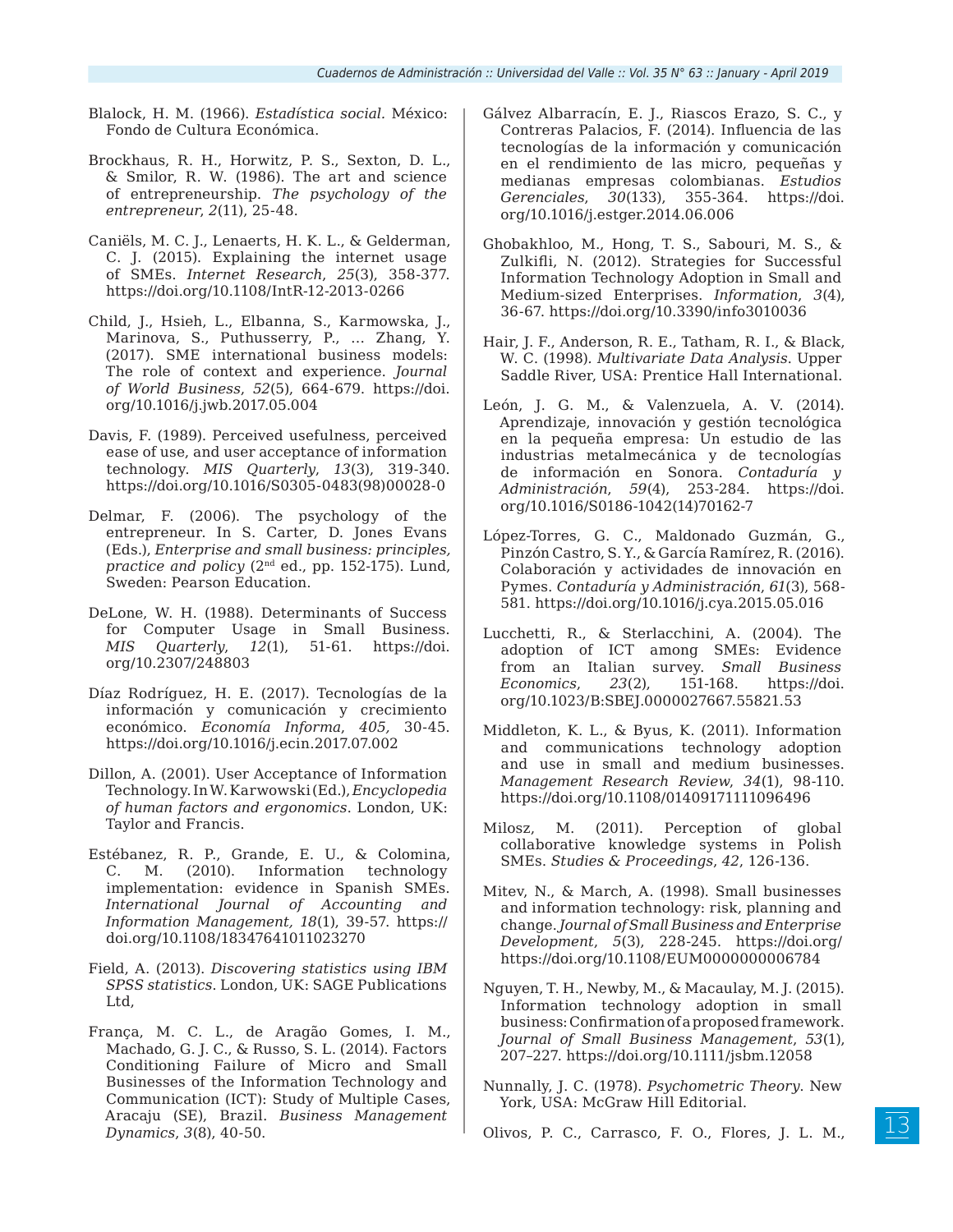- Blalock, H. M. (1966). *Estadística social.* México: Fondo de Cultura Económica.
- Brockhaus, R. H., Horwitz, P. S., Sexton, D. L., & Smilor, R. W. (1986). The art and science of entrepreneurship. *The psychology of the entrepreneur*, *2*(11), 25-48.
- Caniëls, M. C. J., Lenaerts, H. K. L., & Gelderman, C. J. (2015). Explaining the internet usage of SMEs. *Internet Research*, *25*(3), 358-377. https://doi.org/10.1108/IntR-12-2013-0266
- Child, J., Hsieh, L., Elbanna, S., Karmowska, J., Marinova, S., Puthusserry, P., … Zhang, Y. (2017). SME international business models: The role of context and experience. *Journal of World Business*, *52*(5), 664-679. https://doi. org/10.1016/j.jwb.2017.05.004
- Davis, F. (1989). Perceived usefulness, perceived ease of use, and user acceptance of information technology. *MIS Quarterly*, *13*(3), 319-340. https://doi.org/10.1016/S0305-0483(98)00028-0
- Delmar, F. (2006). The psychology of the entrepreneur. In S. Carter, D. Jones Evans (Eds.), *Enterprise and small business: principles, practice and policy* (2nd ed., pp. 152-175). Lund, Sweden: Pearson Education.
- DeLone, W. H. (1988). Determinants of Success for Computer Usage in Small Business. *MIS Quarterly*, *12*(1), 51-61. https://doi. org/10.2307/248803
- Díaz Rodríguez, H. E. (2017). Tecnologías de la información y comunicación y crecimiento económico. *Economía Informa*, *405,* 30-45. https://doi.org/10.1016/j.ecin.2017.07.002
- Dillon, A. (2001). User Acceptance of Information Technology. In W. Karwowski (Ed.), *Encyclopedia of human factors and ergonomics*. London, UK: Taylor and Francis.
- Estébanez, R. P., Grande, E. U., & Colomina, C. M. (2010). Information technology implementation: evidence in Spanish SMEs. *International Journal of Accounting and Information Management, 18*(1), 39-57. https:// doi.org/10.1108/18347641011023270
- Field, A. (2013). *Discovering statistics using IBM SPSS statistics*. London, UK: SAGE Publications Ltd,
- França, M. C. L., de Aragão Gomes, I. M., Machado, G. J. C., & Russo, S. L. (2014). Factors Conditioning Failure of Micro and Small Businesses of the Information Technology and Communication (ICT): Study of Multiple Cases, Aracaju (SE), Brazil. *Business Management Dynamics*, *3*(8), 40-50.
- Gálvez Albarracín, E. J., Riascos Erazo, S. C., y Contreras Palacios, F. (2014). Influencia de las tecnologías de la información y comunicación en el rendimiento de las micro, pequeñas y medianas empresas colombianas. *Estudios Gerenciales*, *30*(133), 355-364. https://doi. org/10.1016/j.estger.2014.06.006
- Ghobakhloo, M., Hong, T. S., Sabouri, M. S., & Zulkifli, N. (2012). Strategies for Successful Information Technology Adoption in Small and Medium-sized Enterprises. *Information*, *3*(4), 36-67. https://doi.org/10.3390/info3010036
- Hair, J. F., Anderson, R. E., Tatham, R. I., & Black, W. C. (1998)*. Multivariate Data Analysis*. Upper Saddle River, USA: Prentice Hall International.
- León, J. G. M., & Valenzuela, A. V. (2014). Aprendizaje, innovación y gestión tecnológica en la pequeña empresa: Un estudio de las industrias metalmecánica y de tecnologías de información en Sonora. *Contaduría y Administración*, *59*(4), 253-284. https://doi. org/10.1016/S0186-1042(14)70162-7
- López-Torres, G. C., Maldonado Guzmán, G., Pinzón Castro, S. Y., & García Ramírez, R. (2016). Colaboración y actividades de innovación en Pymes. *Contaduría y Administración*, *61*(3), 568- 581. https://doi.org/10.1016/j.cya.2015.05.016
- Lucchetti, R., & Sterlacchini, A. (2004). The adoption of ICT among SMEs: Evidence from an Italian survey. *Small Business Economics*, *23*(2), 151-168. https://doi. org/10.1023/B:SBEJ.0000027667.55821.53
- Middleton, K. L., & Byus, K. (2011). Information and communications technology adoption and use in small and medium businesses. *Management Research Review*, *34*(1), 98-110. https://doi.org/10.1108/01409171111096496
- Milosz, M. (2011). Perception of global collaborative knowledge systems in Polish SMEs. *Studies & Proceedings*, *42*, 126-136.
- Mitev, N., & March, A. (1998). Small businesses and information technology: risk, planning and change. *Journal of Small Business and Enterprise Development*, *5*(3), 228-245. https://doi.org/ https://doi.org/10.1108/EUM0000000006784
- Nguyen, T. H., Newby, M., & Macaulay, M. J. (2015). Information technology adoption in small business: Confirmation of a proposed framework. *Journal of Small Business Management*, *53*(1), 207–227. https://doi.org/10.1111/jsbm.12058
- Nunnally, J. C. (1978). *Psychometric Theory*. New York, USA: McGraw Hill Editorial.
- Olivos, P. C., Carrasco, F. O., Flores, J. L. M.,